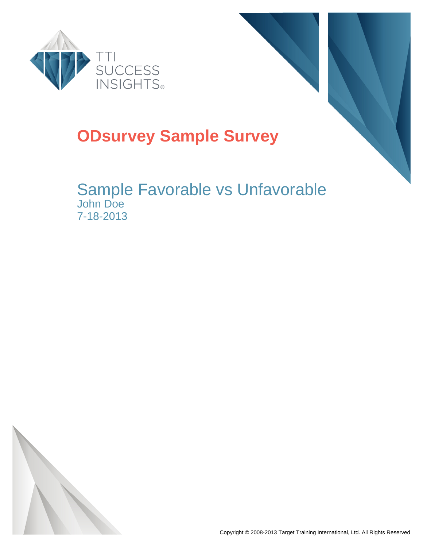



#### **ODsurvey Sample Survey**

#### Sample Favorable vs Unfavorable John Doe 7-18-2013

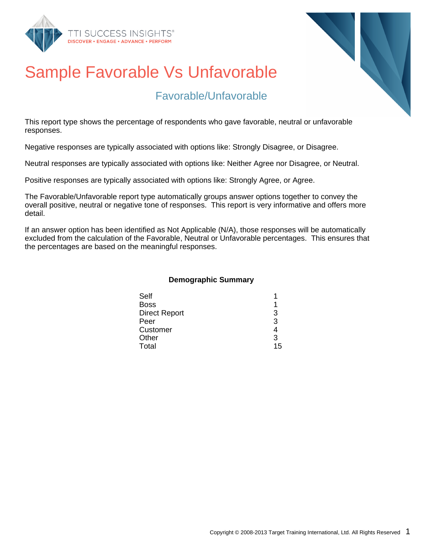



#### Favorable/Unfavorable

This report type shows the percentage of respondents who gave favorable, neutral or unfavorable responses.

Negative responses are typically associated with options like: Strongly Disagree, or Disagree.

Neutral responses are typically associated with options like: Neither Agree nor Disagree, or Neutral.

Positive responses are typically associated with options like: Strongly Agree, or Agree.

The Favorable/Unfavorable report type automatically groups answer options together to convey the overall positive, neutral or negative tone of responses. This report is very informative and offers more detail.

If an answer option has been identified as Not Applicable (N/A), those responses will be automatically excluded from the calculation of the Favorable, Neutral or Unfavorable percentages. This ensures that the percentages are based on the meaningful responses.

#### **Demographic Summary**

| З  |
|----|
| 3  |
|    |
| 3  |
| 15 |
|    |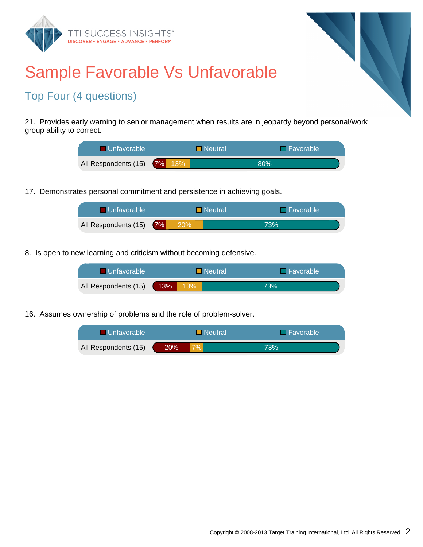



#### Top Four (4 questions)

21. Provides early warning to senior management when results are in jeopardy beyond personal/work group ability to correct.

| I Unfavorable '             | <b>Neutral</b> | $\Box$ Favorable |  |
|-----------------------------|----------------|------------------|--|
| All Respondents (15) 7% 13% |                | 80%              |  |

17. Demonstrates personal commitment and persistence in achieving goals.

| <b>La Unfavorable</b>   | $\blacksquare$ Neutral |  | <b>I</b> ⊟Favorable |  |
|-------------------------|------------------------|--|---------------------|--|
| All Respondents (15) 7% | 20%                    |  | 73%                 |  |

8. Is open to new learning and criticism without becoming defensive.

| <b>Unfavorable</b>   |     | $\blacksquare$ Neutral |  | <b>T</b> Favorable |
|----------------------|-----|------------------------|--|--------------------|
| All Respondents (15) | 13% | 13%                    |  | 73%                |

16. Assumes ownership of problems and the role of problem-solver.

| ■ Unfavorable        | $\Box$ Neutral |  |     |  | $\Box$ Favorable |
|----------------------|----------------|--|-----|--|------------------|
| All Respondents (15) | 20%'           |  | 73% |  |                  |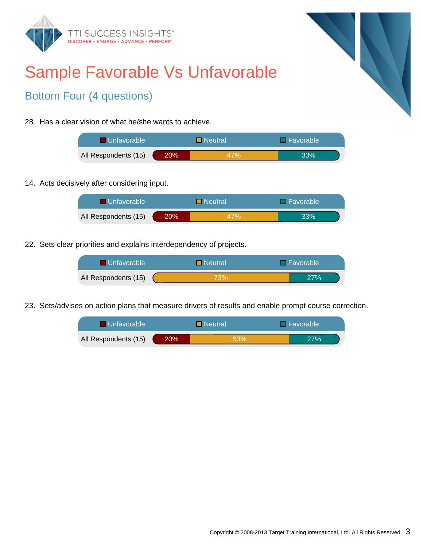



#### Bottom Four (4 questions)

28. Has a clear vision of what he/she wants to achieve.

| <b>Unfavorable</b>   |        | $\blacksquare$ Neutral | $\Box$ Favorable |
|----------------------|--------|------------------------|------------------|
| All Respondents (15) | $20\%$ | 47%                    | 33%              |

14. Acts decisively after considering input.

| <b>■ Unfavorable</b> |     | $\blacksquare$ Neutral | <b>□ Favorable</b> |
|----------------------|-----|------------------------|--------------------|
| All Respondents (15) | 20% | 47%                    | 33%                |

22. Sets clear priorities and explains interdependency of projects.

| <b>Unfavorable</b>   | $\blacksquare$ Neutral | $\Box$ Favorable |
|----------------------|------------------------|------------------|
| All Respondents (15) | 73%                    | 27%              |

23. Sets/advises on action plans that measure drivers of results and enable prompt course correction.

| <b>Unfavorable</b>   |      | <b>Neutral</b> | $\Box$ Favorable |
|----------------------|------|----------------|------------------|
| All Respondents (15) | 20%. | 53%            | 27%              |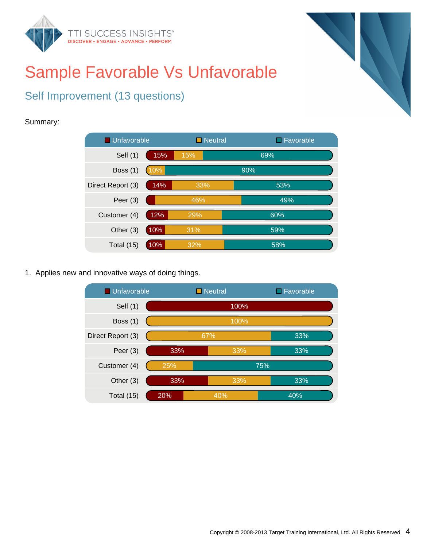



#### Self Improvement (13 questions)

#### Summary:



1. Applies new and innovative ways of doing things.

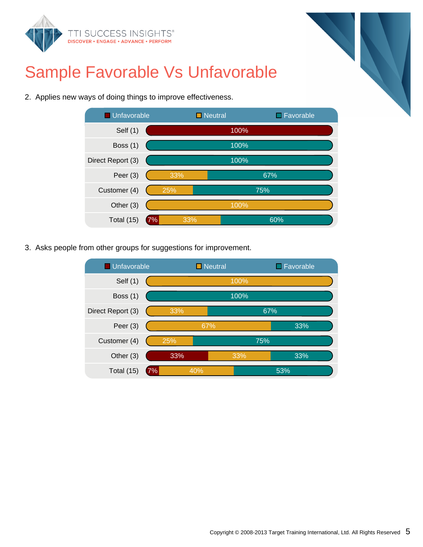

2. Applies new ways of doing things to improve effectiveness.



3. Asks people from other groups for suggestions for improvement.

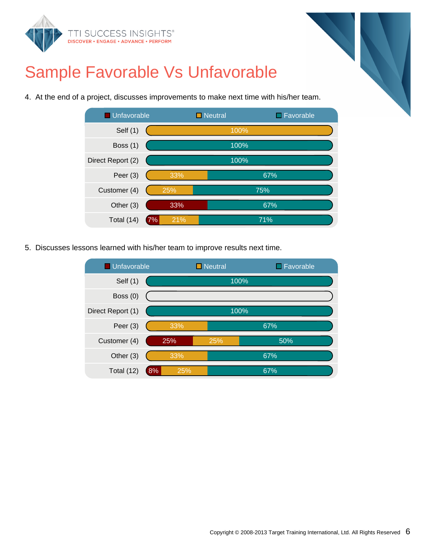



4. At the end of a project, discusses improvements to make next time with his/her team.



5. Discusses lessons learned with his/her team to improve results next time.

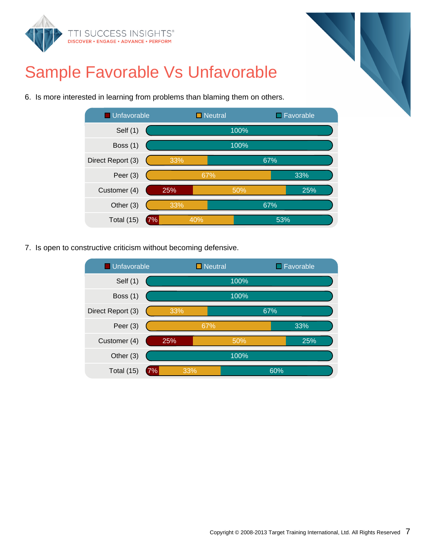



6. Is more interested in learning from problems than blaming them on others.



7. Is open to constructive criticism without becoming defensive.

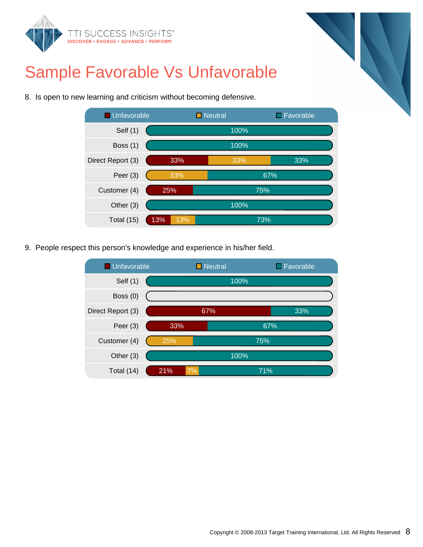

8. Is open to new learning and criticism without becoming defensive.



9. People respect this person's knowledge and experience in his/her field.

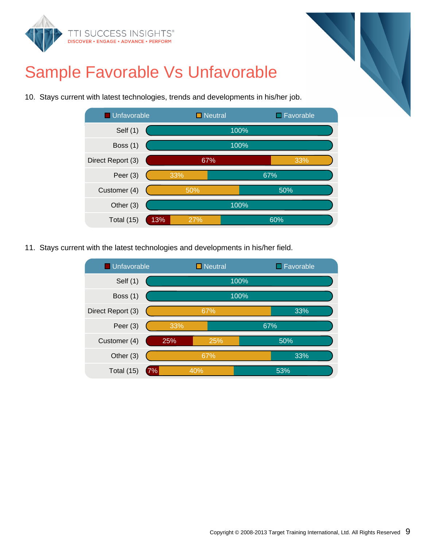

10. Stays current with latest technologies, trends and developments in his/her job.



11. Stays current with the latest technologies and developments in his/her field.

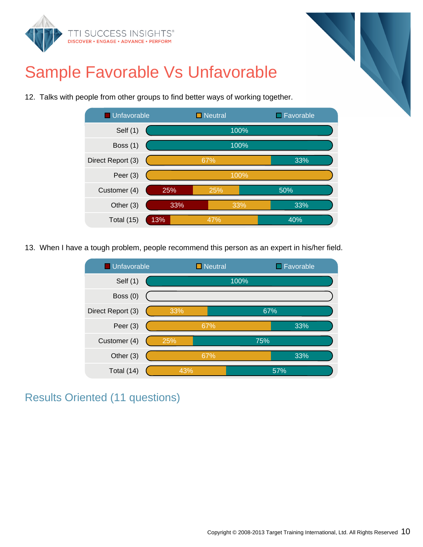



12. Talks with people from other groups to find better ways of working together.

13. When I have a tough problem, people recommend this person as an expert in his/her field.



Results Oriented (11 questions)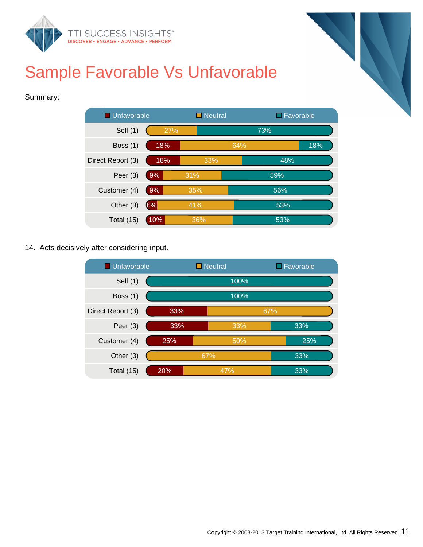

#### Summary:



14. Acts decisively after considering input.

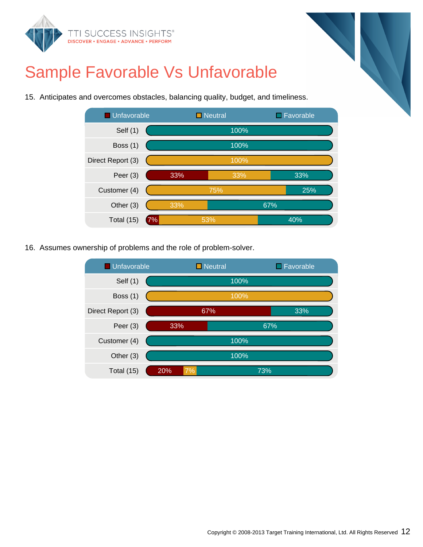



15. Anticipates and overcomes obstacles, balancing quality, budget, and timeliness.



16. Assumes ownership of problems and the role of problem-solver.

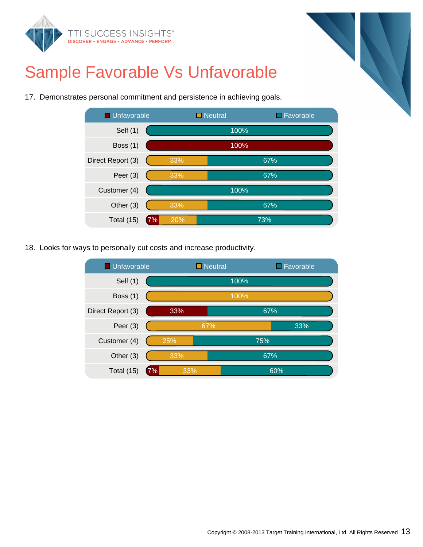





17. Demonstrates personal commitment and persistence in achieving goals.

18. Looks for ways to personally cut costs and increase productivity.

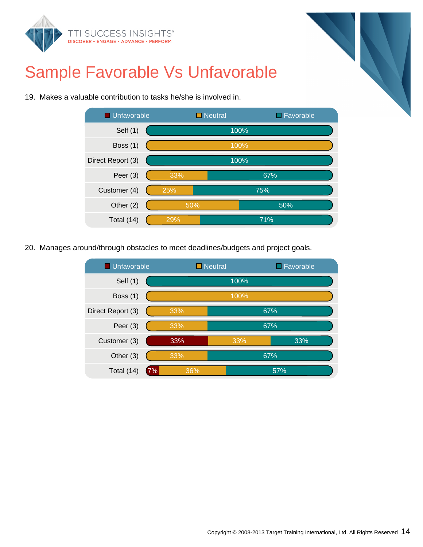



19. Makes a valuable contribution to tasks he/she is involved in.

20. Manages around/through obstacles to meet deadlines/budgets and project goals.

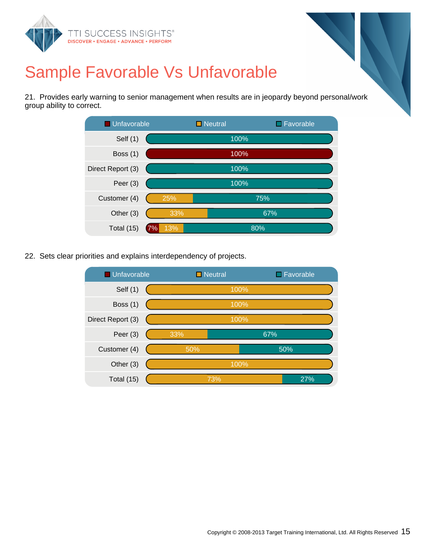

21. Provides early warning to senior management when results are in jeopardy beyond personal/work group ability to correct.



22. Sets clear priorities and explains interdependency of projects.

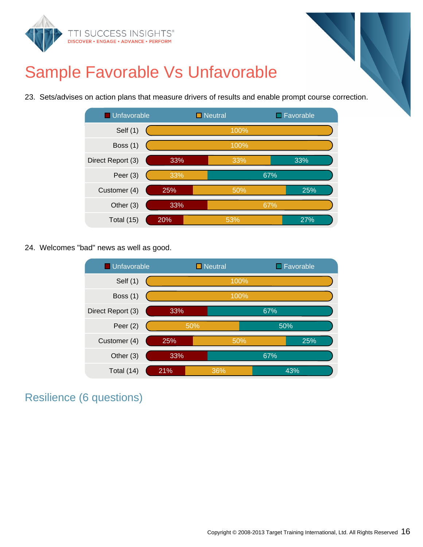

23. Sets/advises on action plans that measure drivers of results and enable prompt course correction.



24. Welcomes "bad" news as well as good.



Resilience (6 questions)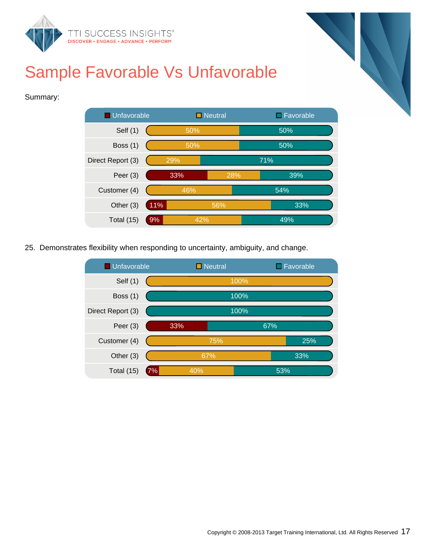

#### Summary:



25. Demonstrates flexibility when responding to uncertainty, ambiguity, and change.

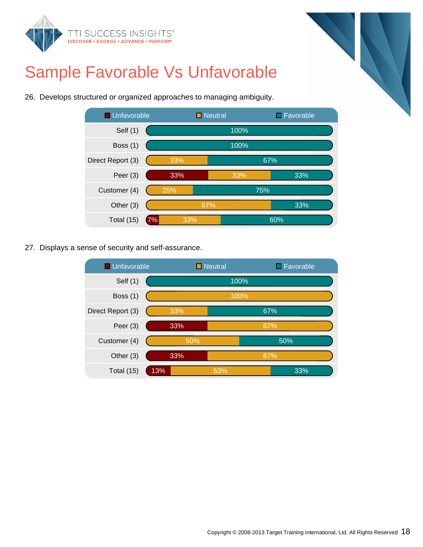





26. Develops structured or organized approaches to managing ambiguity.

27. Displays a sense of security and self-assurance.

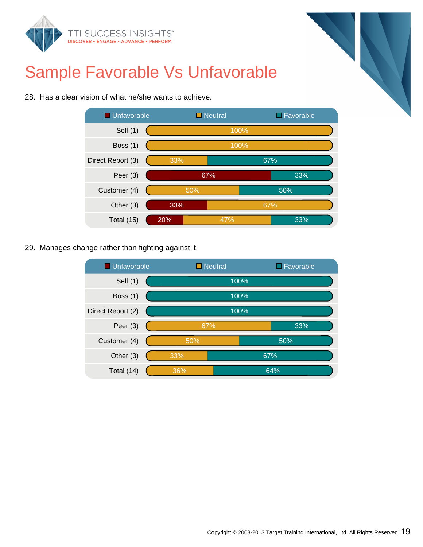



28. Has a clear vision of what he/she wants to achieve.

29. Manages change rather than fighting against it.